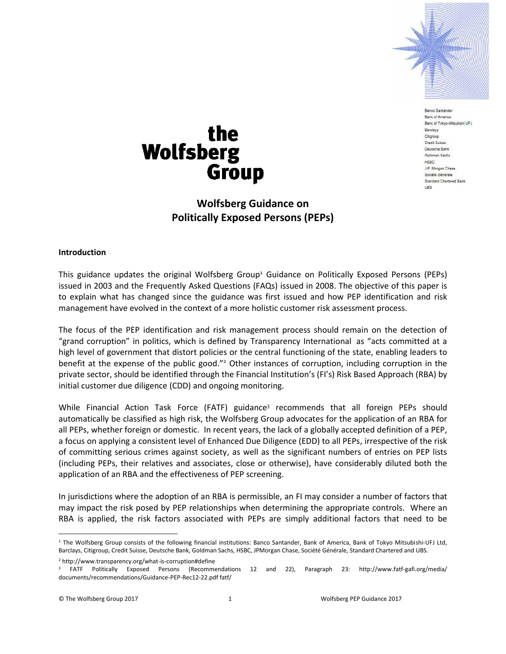

Banco Santande Bank of America Bank of Tokyo-Mitsubishi UFJ Barclays Citigroup Credit Suisse Deutsche Bank Goldman Sachs HSBC J.P. Morgan Chase Société Générale Standard Chartered Bank UBS

# the **Wolfsberg Group**

# **Wolfsberg Guidance on Politically Exposed Persons (PEPs)**

#### **Introduction**

This guidance updates the original Wolfsberg Group<sup>1</sup> Guidance on Politically Exposed Persons (PEPs) issued in 2003 and the Frequently Asked Questions (FAQs) issued in 2008. The objective of this paper is to explain what has changed since the guidance was first issued and how PEP identification and risk management have evolved in the context of a more holistic customer risk assessment process.

The focus of the PEP identification and risk management process should remain on the detection of "grand corruption" in politics, which is defined by Transparency International as "acts committed at a high level of government that distort policies or the central functioning of the state, enabling leaders to benefit at the expense of the public good."<sup>2</sup> Other instances of corruption, including corruption in the private sector, should be identified through the Financial Institution's (FI's) Risk Based Approach (RBA) by initial customer due diligence (CDD) and ongoing monitoring.

While Financial Action Task Force (FATF) guidance<sup>3</sup> recommends that all foreign PEPs should automatically be classified as high risk, the Wolfsberg Group advocates for the application of an RBA for all PEPs, whether foreign or domestic. In recent years, the lack of a globally accepted definition of a PEP, a focus on applying a consistent level of Enhanced Due Diligence (EDD) to all PEPs, irrespective of the risk of committing serious crimes against society, as well as the significant numbers of entries on PEP lists (including PEPs, their relatives and associates, close or otherwise), have considerably diluted both the application of an RBA and the effectiveness of PEP screening.

In jurisdictions where the adoption of an RBA is permissible, an FI may consider a number of factors that may impact the risk posed by PEP relationships when determining the appropriate controls. Where an RBA is applied, the risk factors associated with PEPs are simply additional factors that need to be

<sup>2</sup> http://www.transparency.org/what-is-corruption#define

<sup>&</sup>lt;sup>1</sup> The Wolfsberg Group consists of the following financial institutions: Banco Santander, Bank of America, Bank of Tokyo Mitsubishi-UFJ Ltd, Barclays, Citigroup, Credit Suisse, Deutsche Bank, Goldman Sachs, HSBC, JPMorgan Chase, Société Générale, Standard Chartered and UBS.

<sup>3</sup> FATF Politically Exposed Persons (Recommendations 12 and 22), Paragraph 23: http://www.fatf-gafi.org/media/ documents/recommendations/Guidance-PEP-Rec12-22.pdf fatf/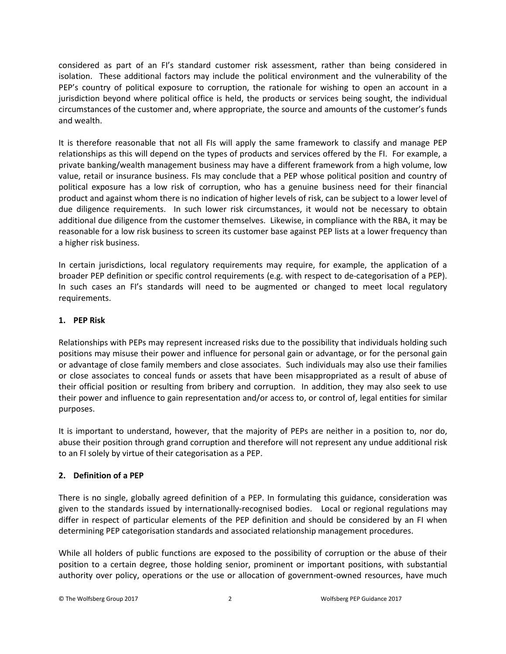considered as part of an FI's standard customer risk assessment, rather than being considered in isolation. These additional factors may include the political environment and the vulnerability of the PEP's country of political exposure to corruption, the rationale for wishing to open an account in a jurisdiction beyond where political office is held, the products or services being sought, the individual circumstances of the customer and, where appropriate, the source and amounts of the customer's funds and wealth.

It is therefore reasonable that not all FIs will apply the same framework to classify and manage PEP relationships as this will depend on the types of products and services offered by the FI. For example, a private banking/wealth management business may have a different framework from a high volume, low value, retail or insurance business. FIs may conclude that a PEP whose political position and country of political exposure has a low risk of corruption, who has a genuine business need for their financial product and against whom there is no indication of higher levels of risk, can be subject to a lower level of due diligence requirements. In such lower risk circumstances, it would not be necessary to obtain additional due diligence from the customer themselves. Likewise, in compliance with the RBA, it may be reasonable for a low risk business to screen its customer base against PEP lists at a lower frequency than a higher risk business.

In certain jurisdictions, local regulatory requirements may require, for example, the application of a broader PEP definition or specific control requirements (e.g. with respect to de-categorisation of a PEP). In such cases an FI's standards will need to be augmented or changed to meet local regulatory requirements.

# **1. PEP Risk**

Relationships with PEPs may represent increased risks due to the possibility that individuals holding such positions may misuse their power and influence for personal gain or advantage, or for the personal gain or advantage of close family members and close associates. Such individuals may also use their families or close associates to conceal funds or assets that have been misappropriated as a result of abuse of their official position or resulting from bribery and corruption. In addition, they may also seek to use their power and influence to gain representation and/or access to, or control of, legal entities for similar purposes.

It is important to understand, however, that the majority of PEPs are neither in a position to, nor do, abuse their position through grand corruption and therefore will not represent any undue additional risk to an FI solely by virtue of their categorisation as a PEP.

#### **2. Definition of a PEP**

There is no single, globally agreed definition of a PEP. In formulating this guidance, consideration was given to the standards issued by internationally-recognised bodies. Local or regional regulations may differ in respect of particular elements of the PEP definition and should be considered by an FI when determining PEP categorisation standards and associated relationship management procedures.

While all holders of public functions are exposed to the possibility of corruption or the abuse of their position to a certain degree, those holding senior, prominent or important positions, with substantial authority over policy, operations or the use or allocation of government-owned resources, have much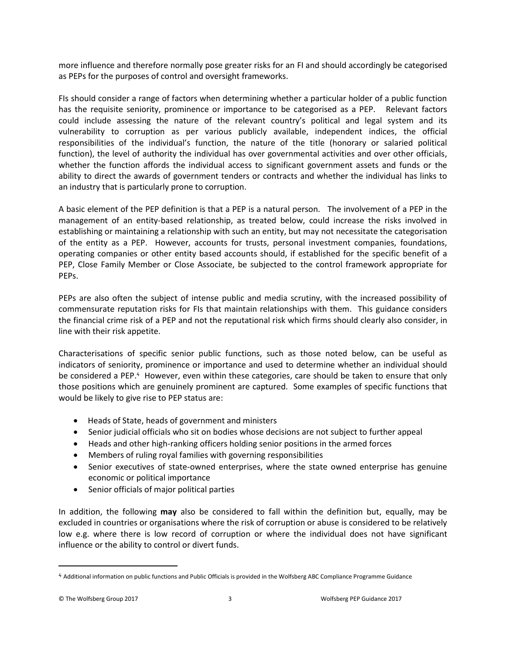more influence and therefore normally pose greater risks for an FI and should accordingly be categorised as PEPs for the purposes of control and oversight frameworks.

FIs should consider a range of factors when determining whether a particular holder of a public function has the requisite seniority, prominence or importance to be categorised as a PEP. Relevant factors could include assessing the nature of the relevant country's political and legal system and its vulnerability to corruption as per various publicly available, independent indices, the official responsibilities of the individual's function, the nature of the title (honorary or salaried political function), the level of authority the individual has over governmental activities and over other officials, whether the function affords the individual access to significant government assets and funds or the ability to direct the awards of government tenders or contracts and whether the individual has links to an industry that is particularly prone to corruption.

A basic element of the PEP definition is that a PEP is a natural person. The involvement of a PEP in the management of an entity-based relationship, as treated below, could increase the risks involved in establishing or maintaining a relationship with such an entity, but may not necessitate the categorisation of the entity as a PEP. However, accounts for trusts, personal investment companies, foundations, operating companies or other entity based accounts should, if established for the specific benefit of a PEP, Close Family Member or Close Associate, be subjected to the control framework appropriate for PEPs.

PEPs are also often the subject of intense public and media scrutiny, with the increased possibility of commensurate reputation risks for FIs that maintain relationships with them. This guidance considers the financial crime risk of a PEP and not the reputational risk which firms should clearly also consider, in line with their risk appetite.

Characterisations of specific senior public functions, such as those noted below, can be useful as indicators of seniority, prominence or importance and used to determine whether an individual should be considered a PEP.<sup>4</sup> However, even within these categories, care should be taken to ensure that only those positions which are genuinely prominent are captured. Some examples of specific functions that would be likely to give rise to PEP status are:

- Heads of State, heads of government and ministers
- Senior judicial officials who sit on bodies whose decisions are not subject to further appeal
- Heads and other high-ranking officers holding senior positions in the armed forces
- Members of ruling royal families with governing responsibilities
- Senior executives of state-owned enterprises, where the state owned enterprise has genuine economic or political importance
- Senior officials of major political parties

In addition, the following **may** also be considered to fall within the definition but, equally, may be excluded in countries or organisations where the risk of corruption or abuse is considered to be relatively low e.g. where there is low record of corruption or where the individual does not have significant influence or the ability to control or divert funds.

<sup>4</sup> Additional information on public functions and Public Officials is provided in the Wolfsberg ABC Compliance Programme Guidance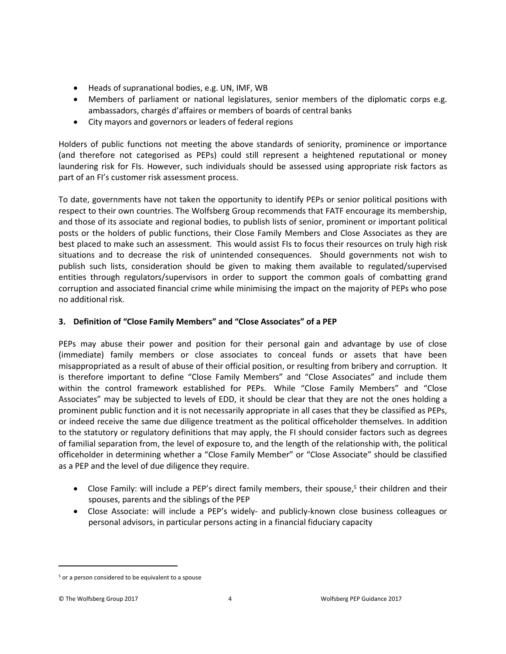- Heads of supranational bodies, e.g. UN, IMF, WB
- Members of parliament or national legislatures, senior members of the diplomatic corps e.g. ambassadors, chargés d'affaires or members of boards of central banks
- City mayors and governors or leaders of federal regions

Holders of public functions not meeting the above standards of seniority, prominence or importance (and therefore not categorised as PEPs) could still represent a heightened reputational or money laundering risk for FIs. However, such individuals should be assessed using appropriate risk factors as part of an FI's customer risk assessment process.

To date, governments have not taken the opportunity to identify PEPs or senior political positions with respect to their own countries. The Wolfsberg Group recommends that FATF encourage its membership, and those of its associate and regional bodies, to publish lists of senior, prominent or important political posts or the holders of public functions, their Close Family Members and Close Associates as they are best placed to make such an assessment. This would assist FIs to focus their resources on truly high risk situations and to decrease the risk of unintended consequences. Should governments not wish to publish such lists, consideration should be given to making them available to regulated/supervised entities through regulators/supervisors in order to support the common goals of combatting grand corruption and associated financial crime while minimising the impact on the majority of PEPs who pose no additional risk.

# **3. Definition of "Close Family Members" and "Close Associates" of a PEP**

PEPs may abuse their power and position for their personal gain and advantage by use of close (immediate) family members or close associates to conceal funds or assets that have been misappropriated as a result of abuse of their official position, or resulting from bribery and corruption. It is therefore important to define "Close Family Members" and "Close Associates" and include them within the control framework established for PEPs. While "Close Family Members" and "Close Associates" may be subjected to levels of EDD, it should be clear that they are not the ones holding a prominent public function and it is not necessarily appropriate in all cases that they be classified as PEPs, or indeed receive the same due diligence treatment as the political officeholder themselves. In addition to the statutory or regulatory definitions that may apply, the FI should consider factors such as degrees of familial separation from, the level of exposure to, and the length of the relationship with, the political officeholder in determining whether a "Close Family Member" or "Close Associate" should be classified as a PEP and the level of due diligence they require.

- Close Family: will include a PEP's direct family members, their spouse,<sup>5</sup> their children and their spouses, parents and the siblings of the PEP
- Close Associate: will include a PEP's widely- and publicly-known close business colleagues or personal advisors, in particular persons acting in a financial fiduciary capacity

<sup>&</sup>lt;sup>5</sup> or a person considered to be equivalent to a spouse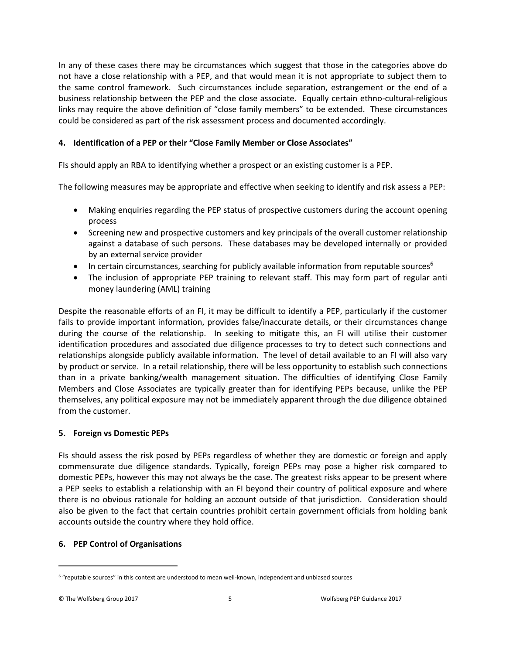In any of these cases there may be circumstances which suggest that those in the categories above do not have a close relationship with a PEP, and that would mean it is not appropriate to subject them to the same control framework. Such circumstances include separation, estrangement or the end of a business relationship between the PEP and the close associate. Equally certain ethno-cultural-religious links may require the above definition of "close family members" to be extended. These circumstances could be considered as part of the risk assessment process and documented accordingly.

# **4. Identification of a PEP or their "Close Family Member or Close Associates"**

FIs should apply an RBA to identifying whether a prospect or an existing customer is a PEP.

The following measures may be appropriate and effective when seeking to identify and risk assess a PEP:

- Making enquiries regarding the PEP status of prospective customers during the account opening process
- Screening new and prospective customers and key principals of the overall customer relationship against a database of such persons. These databases may be developed internally or provided by an external service provider
- In certain circumstances, searching for publicly available information from reputable sources<sup>6</sup>
- The inclusion of appropriate PEP training to relevant staff. This may form part of regular anti money laundering (AML) training

Despite the reasonable efforts of an FI, it may be difficult to identify a PEP, particularly if the customer fails to provide important information, provides false/inaccurate details, or their circumstances change during the course of the relationship. In seeking to mitigate this, an FI will utilise their customer identification procedures and associated due diligence processes to try to detect such connections and relationships alongside publicly available information. The level of detail available to an FI will also vary by product or service. In a retail relationship, there will be less opportunity to establish such connections than in a private banking/wealth management situation. The difficulties of identifying Close Family Members and Close Associates are typically greater than for identifying PEPs because, unlike the PEP themselves, any political exposure may not be immediately apparent through the due diligence obtained from the customer.

#### **5. Foreign vs Domestic PEPs**

FIs should assess the risk posed by PEPs regardless of whether they are domestic or foreign and apply commensurate due diligence standards. Typically, foreign PEPs may pose a higher risk compared to domestic PEPs, however this may not always be the case. The greatest risks appear to be present where a PEP seeks to establish a relationship with an FI beyond their country of political exposure and where there is no obvious rationale for holding an account outside of that jurisdiction. Consideration should also be given to the fact that certain countries prohibit certain government officials from holding bank accounts outside the country where they hold office.

#### **6. PEP Control of Organisations**

<sup>&</sup>lt;sup>6</sup> "reputable sources" in this context are understood to mean well-known, independent and unbiased sources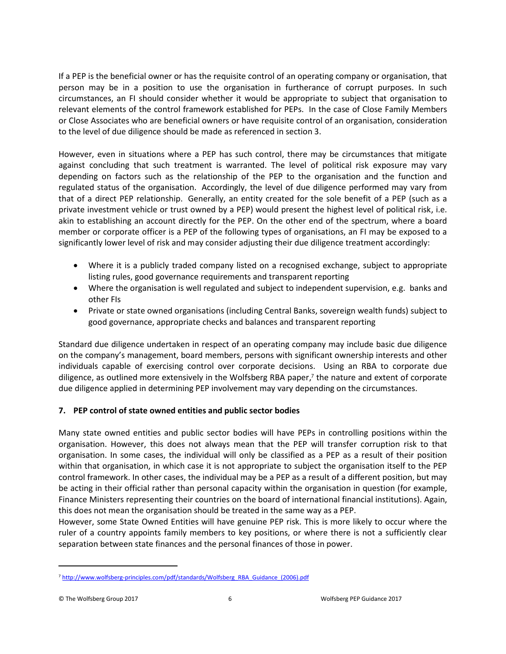If a PEP is the beneficial owner or has the requisite control of an operating company or organisation, that person may be in a position to use the organisation in furtherance of corrupt purposes. In such circumstances, an FI should consider whether it would be appropriate to subject that organisation to relevant elements of the control framework established for PEPs. In the case of Close Family Members or Close Associates who are beneficial owners or have requisite control of an organisation, consideration to the level of due diligence should be made as referenced in section 3.

However, even in situations where a PEP has such control, there may be circumstances that mitigate against concluding that such treatment is warranted. The level of political risk exposure may vary depending on factors such as the relationship of the PEP to the organisation and the function and regulated status of the organisation. Accordingly, the level of due diligence performed may vary from that of a direct PEP relationship. Generally, an entity created for the sole benefit of a PEP (such as a private investment vehicle or trust owned by a PEP) would present the highest level of political risk, i.e. akin to establishing an account directly for the PEP. On the other end of the spectrum, where a board member or corporate officer is a PEP of the following types of organisations, an FI may be exposed to a significantly lower level of risk and may consider adjusting their due diligence treatment accordingly:

- Where it is a publicly traded company listed on a recognised exchange, subject to appropriate listing rules, good governance requirements and transparent reporting
- Where the organisation is well regulated and subject to independent supervision, e.g. banks and other FIs
- Private or state owned organisations (including Central Banks, sovereign wealth funds) subject to good governance, appropriate checks and balances and transparent reporting

Standard due diligence undertaken in respect of an operating company may include basic due diligence on the company's management, board members, persons with significant ownership interests and other individuals capable of exercising control over corporate decisions. Using an RBA to corporate due diligence, as outlined more extensively in the Wolfsberg RBA paper, 7 the nature and extent of corporate due diligence applied in determining PEP involvement may vary depending on the circumstances.

# **7. PEP control of state owned entities and public sector bodies**

Many state owned entities and public sector bodies will have PEPs in controlling positions within the organisation. However, this does not always mean that the PEP will transfer corruption risk to that organisation. In some cases, the individual will only be classified as a PEP as a result of their position within that organisation, in which case it is not appropriate to subject the organisation itself to the PEP control framework. In other cases, the individual may be a PEP as a result of a different position, but may be acting in their official rather than personal capacity within the organisation in question (for example, Finance Ministers representing their countries on the board of international financial institutions). Again, this does not mean the organisation should be treated in the same way as a PEP.

However, some State Owned Entities will have genuine PEP risk. This is more likely to occur where the ruler of a country appoints family members to key positions, or where there is not a sufficiently clear separation between state finances and the personal finances of those in power.

<sup>&</sup>lt;sup>7</sup> [http://www.wolfsberg-principles.com/pdf/standards/Wolfsberg\\_RBA\\_Guidance\\_\(2006\).pdf](http://www.wolfsberg-principles.com/pdf/standards/Wolfsberg_RBA_Guidance_(2006).pdf)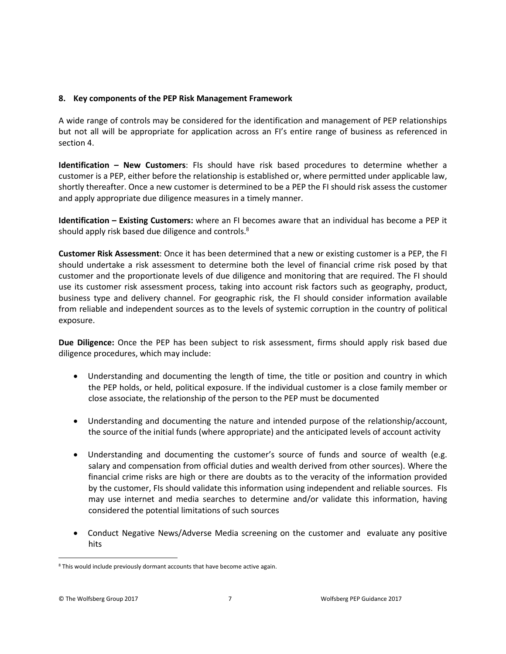#### **8. Key components of the PEP Risk Management Framework**

A wide range of controls may be considered for the identification and management of PEP relationships but not all will be appropriate for application across an FI's entire range of business as referenced in section 4.

**Identification – New Customers**: FIs should have risk based procedures to determine whether a customer is a PEP, either before the relationship is established or, where permitted under applicable law, shortly thereafter. Once a new customer is determined to be a PEP the FI should risk assess the customer and apply appropriate due diligence measures in a timely manner.

**Identification – Existing Customers:** where an FI becomes aware that an individual has become a PEP it should apply risk based due diligence and controls.<sup>8</sup>

**Customer Risk Assessment**: Once it has been determined that a new or existing customer is a PEP, the FI should undertake a risk assessment to determine both the level of financial crime risk posed by that customer and the proportionate levels of due diligence and monitoring that are required. The FI should use its customer risk assessment process, taking into account risk factors such as geography, product, business type and delivery channel. For geographic risk, the FI should consider information available from reliable and independent sources as to the levels of systemic corruption in the country of political exposure.

**Due Diligence:** Once the PEP has been subject to risk assessment, firms should apply risk based due diligence procedures, which may include:

- Understanding and documenting the length of time, the title or position and country in which the PEP holds, or held, political exposure. If the individual customer is a close family member or close associate, the relationship of the person to the PEP must be documented
- Understanding and documenting the nature and intended purpose of the relationship/account, the source of the initial funds (where appropriate) and the anticipated levels of account activity
- Understanding and documenting the customer's source of funds and source of wealth (e.g. salary and compensation from official duties and wealth derived from other sources). Where the financial crime risks are high or there are doubts as to the veracity of the information provided by the customer, FIs should validate this information using independent and reliable sources. FIs may use internet and media searches to determine and/or validate this information, having considered the potential limitations of such sources
- Conduct Negative News/Adverse Media screening on the customer and evaluate any positive hits

<sup>&</sup>lt;sup>8</sup> This would include previously dormant accounts that have become active again.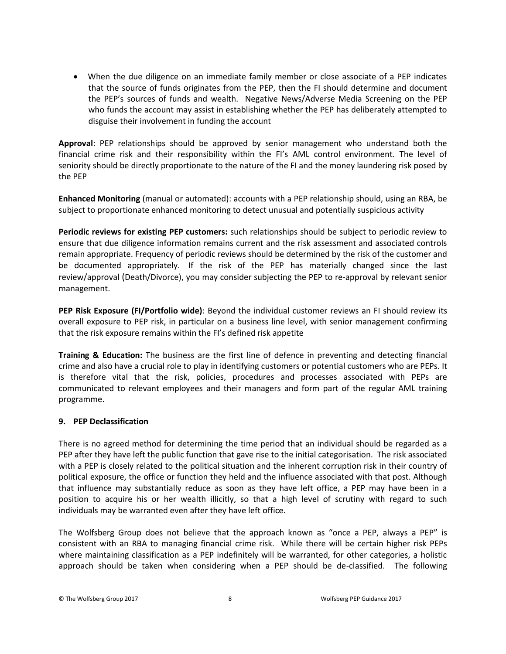• When the due diligence on an immediate family member or close associate of a PEP indicates that the source of funds originates from the PEP, then the FI should determine and document the PEP's sources of funds and wealth. Negative News/Adverse Media Screening on the PEP who funds the account may assist in establishing whether the PEP has deliberately attempted to disguise their involvement in funding the account

**Approval**: PEP relationships should be approved by senior management who understand both the financial crime risk and their responsibility within the FI's AML control environment. The level of seniority should be directly proportionate to the nature of the FI and the money laundering risk posed by the PEP

**Enhanced Monitoring** (manual or automated): accounts with a PEP relationship should, using an RBA, be subject to proportionate enhanced monitoring to detect unusual and potentially suspicious activity

**Periodic reviews for existing PEP customers:** such relationships should be subject to periodic review to ensure that due diligence information remains current and the risk assessment and associated controls remain appropriate. Frequency of periodic reviews should be determined by the risk of the customer and be documented appropriately. If the risk of the PEP has materially changed since the last review/approval (Death/Divorce), you may consider subjecting the PEP to re-approval by relevant senior management.

**PEP Risk Exposure (FI/Portfolio wide)**: Beyond the individual customer reviews an FI should review its overall exposure to PEP risk, in particular on a business line level, with senior management confirming that the risk exposure remains within the FI's defined risk appetite

**Training & Education:** The business are the first line of defence in preventing and detecting financial crime and also have a crucial role to play in identifying customers or potential customers who are PEPs. It is therefore vital that the risk, policies, procedures and processes associated with PEPs are communicated to relevant employees and their managers and form part of the regular AML training programme.

#### **9. PEP Declassification**

There is no agreed method for determining the time period that an individual should be regarded as a PEP after they have left the public function that gave rise to the initial categorisation. The risk associated with a PEP is closely related to the political situation and the inherent corruption risk in their country of political exposure, the office or function they held and the influence associated with that post. Although that influence may substantially reduce as soon as they have left office, a PEP may have been in a position to acquire his or her wealth illicitly, so that a high level of scrutiny with regard to such individuals may be warranted even after they have left office.

The Wolfsberg Group does not believe that the approach known as "once a PEP, always a PEP" is consistent with an RBA to managing financial crime risk. While there will be certain higher risk PEPs where maintaining classification as a PEP indefinitely will be warranted, for other categories, a holistic approach should be taken when considering when a PEP should be de-classified. The following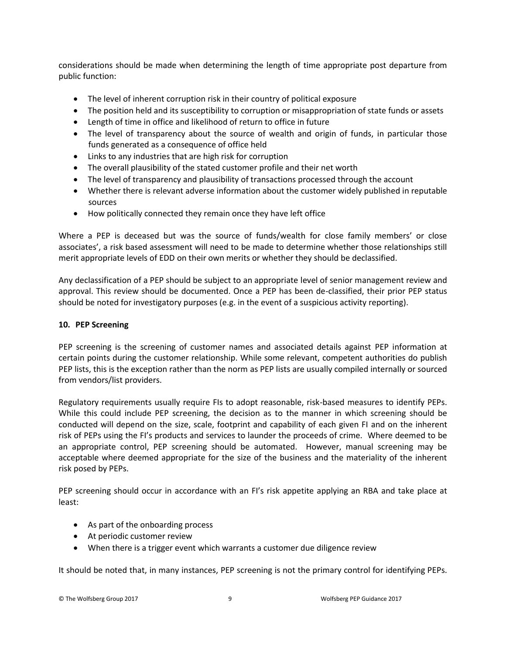considerations should be made when determining the length of time appropriate post departure from public function:

- The level of inherent corruption risk in their country of political exposure
- The position held and its susceptibility to corruption or misappropriation of state funds or assets
- Length of time in office and likelihood of return to office in future
- The level of transparency about the source of wealth and origin of funds, in particular those funds generated as a consequence of office held
- Links to any industries that are high risk for corruption
- The overall plausibility of the stated customer profile and their net worth
- The level of transparency and plausibility of transactions processed through the account
- Whether there is relevant adverse information about the customer widely published in reputable sources
- How politically connected they remain once they have left office

Where a PEP is deceased but was the source of funds/wealth for close family members' or close associates', a risk based assessment will need to be made to determine whether those relationships still merit appropriate levels of EDD on their own merits or whether they should be declassified.

Any declassification of a PEP should be subject to an appropriate level of senior management review and approval. This review should be documented. Once a PEP has been de-classified, their prior PEP status should be noted for investigatory purposes (e.g. in the event of a suspicious activity reporting).

# **10. PEP Screening**

PEP screening is the screening of customer names and associated details against PEP information at certain points during the customer relationship. While some relevant, competent authorities do publish PEP lists, this is the exception rather than the norm as PEP lists are usually compiled internally or sourced from vendors/list providers.

Regulatory requirements usually require FIs to adopt reasonable, risk-based measures to identify PEPs. While this could include PEP screening, the decision as to the manner in which screening should be conducted will depend on the size, scale, footprint and capability of each given FI and on the inherent risk of PEPs using the FI's products and services to launder the proceeds of crime. Where deemed to be an appropriate control, PEP screening should be automated. However, manual screening may be acceptable where deemed appropriate for the size of the business and the materiality of the inherent risk posed by PEPs.

PEP screening should occur in accordance with an FI's risk appetite applying an RBA and take place at least:

- As part of the onboarding process
- At periodic customer review
- When there is a trigger event which warrants a customer due diligence review

It should be noted that, in many instances, PEP screening is not the primary control for identifying PEPs.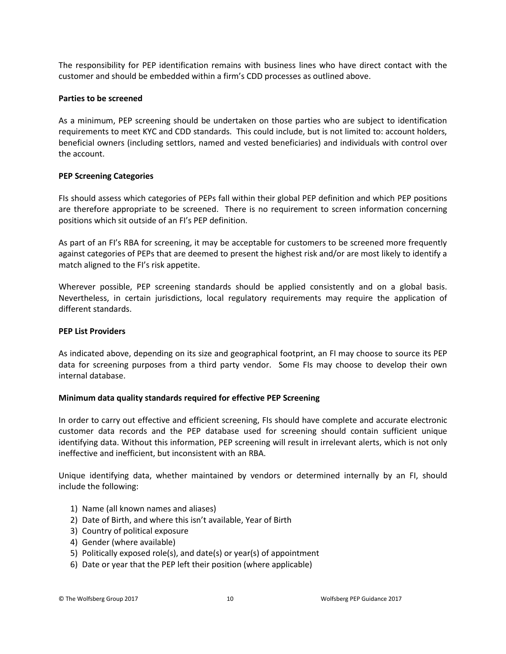The responsibility for PEP identification remains with business lines who have direct contact with the customer and should be embedded within a firm's CDD processes as outlined above.

#### **Parties to be screened**

As a minimum, PEP screening should be undertaken on those parties who are subject to identification requirements to meet KYC and CDD standards. This could include, but is not limited to: account holders, beneficial owners (including settlors, named and vested beneficiaries) and individuals with control over the account.

#### **PEP Screening Categories**

FIs should assess which categories of PEPs fall within their global PEP definition and which PEP positions are therefore appropriate to be screened. There is no requirement to screen information concerning positions which sit outside of an FI's PEP definition.

As part of an FI's RBA for screening, it may be acceptable for customers to be screened more frequently against categories of PEPs that are deemed to present the highest risk and/or are most likely to identify a match aligned to the FI's risk appetite.

Wherever possible, PEP screening standards should be applied consistently and on a global basis. Nevertheless, in certain jurisdictions, local regulatory requirements may require the application of different standards.

#### **PEP List Providers**

As indicated above, depending on its size and geographical footprint, an FI may choose to source its PEP data for screening purposes from a third party vendor. Some FIs may choose to develop their own internal database.

#### **Minimum data quality standards required for effective PEP Screening**

In order to carry out effective and efficient screening, FIs should have complete and accurate electronic customer data records and the PEP database used for screening should contain sufficient unique identifying data. Without this information, PEP screening will result in irrelevant alerts, which is not only ineffective and inefficient, but inconsistent with an RBA.

Unique identifying data, whether maintained by vendors or determined internally by an FI, should include the following:

- 1) Name (all known names and aliases)
- 2) Date of Birth, and where this isn't available, Year of Birth
- 3) Country of political exposure
- 4) Gender (where available)
- 5) Politically exposed role(s), and date(s) or year(s) of appointment
- 6) Date or year that the PEP left their position (where applicable)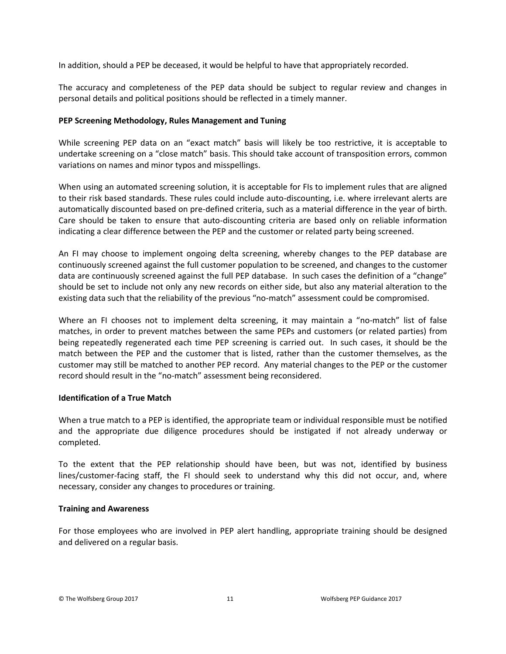In addition, should a PEP be deceased, it would be helpful to have that appropriately recorded.

The accuracy and completeness of the PEP data should be subject to regular review and changes in personal details and political positions should be reflected in a timely manner.

#### **PEP Screening Methodology, Rules Management and Tuning**

While screening PEP data on an "exact match" basis will likely be too restrictive, it is acceptable to undertake screening on a "close match" basis. This should take account of transposition errors, common variations on names and minor typos and misspellings.

When using an automated screening solution, it is acceptable for FIs to implement rules that are aligned to their risk based standards. These rules could include auto-discounting, i.e. where irrelevant alerts are automatically discounted based on pre-defined criteria, such as a material difference in the year of birth. Care should be taken to ensure that auto-discounting criteria are based only on reliable information indicating a clear difference between the PEP and the customer or related party being screened.

An FI may choose to implement ongoing delta screening, whereby changes to the PEP database are continuously screened against the full customer population to be screened, and changes to the customer data are continuously screened against the full PEP database. In such cases the definition of a "change" should be set to include not only any new records on either side, but also any material alteration to the existing data such that the reliability of the previous "no-match" assessment could be compromised.

Where an FI chooses not to implement delta screening, it may maintain a "no-match" list of false matches, in order to prevent matches between the same PEPs and customers (or related parties) from being repeatedly regenerated each time PEP screening is carried out. In such cases, it should be the match between the PEP and the customer that is listed, rather than the customer themselves, as the customer may still be matched to another PEP record. Any material changes to the PEP or the customer record should result in the "no-match" assessment being reconsidered.

#### **Identification of a True Match**

When a true match to a PEP is identified, the appropriate team or individual responsible must be notified and the appropriate due diligence procedures should be instigated if not already underway or completed.

To the extent that the PEP relationship should have been, but was not, identified by business lines/customer-facing staff, the FI should seek to understand why this did not occur, and, where necessary, consider any changes to procedures or training.

#### **Training and Awareness**

For those employees who are involved in PEP alert handling, appropriate training should be designed and delivered on a regular basis.